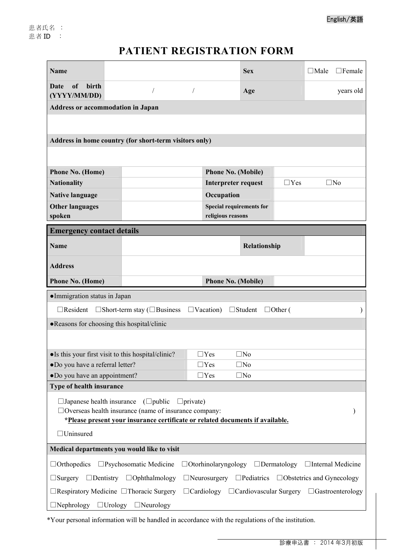## **PATIENT REGISTRATION FORM**

| <b>Name</b>                                                                                                                                |                                                                           |                                 | <b>Sex</b>                               |                | $\Box$ Male  | $\Box$ Female |  |  |  |
|--------------------------------------------------------------------------------------------------------------------------------------------|---------------------------------------------------------------------------|---------------------------------|------------------------------------------|----------------|--------------|---------------|--|--|--|
| birth<br>of<br>Date<br>(YYYY/MM/DD)                                                                                                        |                                                                           |                                 | Age                                      |                |              | years old     |  |  |  |
| <b>Address or accommodation in Japan</b>                                                                                                   |                                                                           |                                 |                                          |                |              |               |  |  |  |
|                                                                                                                                            |                                                                           |                                 |                                          |                |              |               |  |  |  |
|                                                                                                                                            |                                                                           |                                 |                                          |                |              |               |  |  |  |
|                                                                                                                                            | Address in home country (for short-term visitors only)                    |                                 |                                          |                |              |               |  |  |  |
|                                                                                                                                            |                                                                           |                                 |                                          |                |              |               |  |  |  |
| Phone No. (Home)                                                                                                                           |                                                                           | <b>Phone No. (Mobile)</b>       |                                          |                |              |               |  |  |  |
| <b>Nationality</b>                                                                                                                         |                                                                           |                                 | $\Box$ Yes<br><b>Interpreter request</b> |                | $\square$ No |               |  |  |  |
| <b>Native language</b>                                                                                                                     |                                                                           | Occupation                      |                                          |                |              |               |  |  |  |
| <b>Other languages</b>                                                                                                                     |                                                                           | <b>Special requirements for</b> |                                          |                |              |               |  |  |  |
| spoken                                                                                                                                     |                                                                           | religious reasons               |                                          |                |              |               |  |  |  |
| <b>Emergency contact details</b>                                                                                                           |                                                                           |                                 |                                          |                |              |               |  |  |  |
| <b>Name</b>                                                                                                                                |                                                                           |                                 | Relationship                             |                |              |               |  |  |  |
|                                                                                                                                            |                                                                           |                                 |                                          |                |              |               |  |  |  |
| <b>Address</b>                                                                                                                             |                                                                           |                                 |                                          |                |              |               |  |  |  |
| <b>Phone No. (Home)</b>                                                                                                                    |                                                                           | <b>Phone No. (Mobile)</b>       |                                          |                |              |               |  |  |  |
| · Immigration status in Japan                                                                                                              |                                                                           |                                 |                                          |                |              |               |  |  |  |
| $\Box$ Resident                                                                                                                            | $\square$ Short-term stay ( $\square$ Business                            | $\Box$ Vacation)                | $\Box$ Student                           | $\Box$ Other ( |              | $\lambda$     |  |  |  |
| • Reasons for choosing this hospital/clinic                                                                                                |                                                                           |                                 |                                          |                |              |               |  |  |  |
|                                                                                                                                            |                                                                           |                                 |                                          |                |              |               |  |  |  |
|                                                                                                                                            |                                                                           | $\Box$ Yes                      | $\square$ No                             |                |              |               |  |  |  |
| • Is this your first visit to this hospital/clinic?<br>·Do you have a referral letter?                                                     |                                                                           |                                 | $\square$ No<br>$\Box$ Yes               |                |              |               |  |  |  |
| •Do you have an appointment?                                                                                                               |                                                                           | $\Box$ Yes                      | $\square$ No                             |                |              |               |  |  |  |
| <b>Type of health insurance</b>                                                                                                            |                                                                           |                                 |                                          |                |              |               |  |  |  |
|                                                                                                                                            | $\square$ Japanese health insurance ( $\square$ public<br>$\Box$ private) |                                 |                                          |                |              |               |  |  |  |
| $\Box$ Overseas health insurance (name of insurance company:                                                                               |                                                                           |                                 |                                          |                |              |               |  |  |  |
| *Please present your insurance certificate or related documents if available.                                                              |                                                                           |                                 |                                          |                |              |               |  |  |  |
| $\Box$ Uninsured                                                                                                                           |                                                                           |                                 |                                          |                |              |               |  |  |  |
| Medical departments you would like to visit                                                                                                |                                                                           |                                 |                                          |                |              |               |  |  |  |
| $\square$ Psychosomatic Medicine<br>$\Box$ Otorhinolaryngology $\Box$ Dermatology<br>$\Box$ Orthopedics<br>$\Box$ Internal Medicine        |                                                                           |                                 |                                          |                |              |               |  |  |  |
| $\Box$ Pediatrics<br>$\Box$ Obstetrics and Gynecology<br>$\Box$ Surgery<br>$\Box$ Dentistry<br>$\Box$ Ophthalmology<br>$\Box$ Neurosurgery |                                                                           |                                 |                                          |                |              |               |  |  |  |
| $\Box$ Respiratory Medicine $\Box$ Thoracic Surgery<br>$\Box$ Cardiology $\Box$ Cardiovascular Surgery $\Box$ Gastroenterology             |                                                                           |                                 |                                          |                |              |               |  |  |  |
| $\Box$ Nephrology<br>$\Box$ Urology<br>$\Box$ Neurology                                                                                    |                                                                           |                                 |                                          |                |              |               |  |  |  |
|                                                                                                                                            |                                                                           |                                 |                                          |                |              |               |  |  |  |

\*Your personal information will be handled in accordance with the regulations of the institution.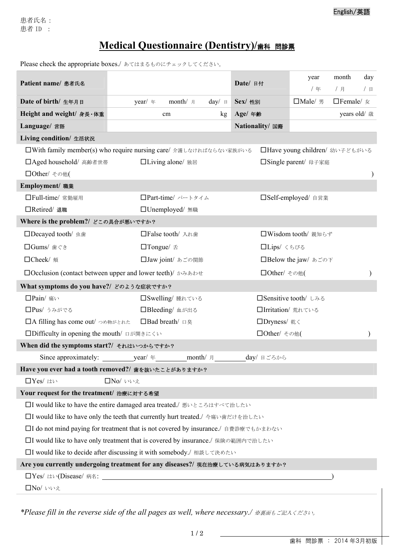English/英語

Please check the appropriate boxes./ あてはまるものにチェックしてください。

| Patient name/ 患者氏名                                                                                   |                                                                                    | Date/ 日付              | day<br>month<br>year<br>/月<br>/年<br>/日 |  |  |  |  |
|------------------------------------------------------------------------------------------------------|------------------------------------------------------------------------------------|-----------------------|----------------------------------------|--|--|--|--|
| Date of birth/ 生年月日                                                                                  | month/ 月<br>$year/$ 年<br>$day/ \Box$                                               | Sex/ 性別               | $\Box$ Male/ 男<br>$\Box$ Female/ $\pi$ |  |  |  |  |
| Height and weight/ 身長·体重                                                                             | Age/ 年齢<br>cm<br>kg                                                                |                       | years old/ 歳                           |  |  |  |  |
| Language/ 言語                                                                                         | Nationality/ 国籍                                                                    |                       |                                        |  |  |  |  |
| Living condition/ 生活状況                                                                               |                                                                                    |                       |                                        |  |  |  |  |
| □ With family member(s) who require nursing care/ 介護しなければならない家族がいる<br>□Have young children/ 幼い子どもがいる |                                                                                    |                       |                                        |  |  |  |  |
| □ Aged household/ 高齢者世帯                                                                              | □Living alone/ 独居                                                                  | □ Single parent/ 母子家庭 |                                        |  |  |  |  |
| □Other/ その他(                                                                                         |                                                                                    |                       |                                        |  |  |  |  |
| Employment/ 職業                                                                                       |                                                                                    |                       |                                        |  |  |  |  |
| □Full-time/ 常勤雇用                                                                                     | □Part-time/ パートタイム                                                                 |                       | □Self-employed/ 自営業                    |  |  |  |  |
| □Retired/ 退職                                                                                         | □Unemployed/無職                                                                     |                       |                                        |  |  |  |  |
| Where is the problem?/ どこの具合が悪いですか?                                                                  |                                                                                    |                       |                                        |  |  |  |  |
| □Decayed tooth/ 虫歯                                                                                   | □False tooth/ 入れ歯                                                                  | □Wisdom tooth/ 親知らず   |                                        |  |  |  |  |
| □Gums/歯ぐき                                                                                            | $\Box$ Tongue/ $\pm$                                                               | □Lips/ くちびる           |                                        |  |  |  |  |
| □Cheek/ 頬                                                                                            | □Jaw joint/ あごの関節                                                                  |                       | □Below the jaw/ あごの下                   |  |  |  |  |
| □ Occlusion (contact between upper and lower teeth)/ ゕゕゕゕゎ<br>□Other/ その他(                           |                                                                                    |                       |                                        |  |  |  |  |
| What symptoms do you have?/ どのような症状ですか?                                                              |                                                                                    |                       |                                        |  |  |  |  |
| □Pain/ 痛い                                                                                            | □Swelling/ 腫れている                                                                   |                       | □ Sensitive tooth/ しみる                 |  |  |  |  |
| □Pus/うみがでる                                                                                           | □Bleeding/ 血が出る                                                                    | □Irritation/ 荒れている    |                                        |  |  |  |  |
| □A filling has come out/ つめ物がとれた                                                                     | □Bad breath/ 口臭                                                                    | □Dryness/ 乾く          |                                        |  |  |  |  |
| □Difficulty in opening the mouth/ 口が開きにくい<br>□Other/ その他(                                            |                                                                                    |                       |                                        |  |  |  |  |
| When did the symptoms start?/ それはいつからですか?                                                            |                                                                                    |                       |                                        |  |  |  |  |
|                                                                                                      | month/ 月<br>Since approximately: $\qquad \qquad \text{year}/ \#$                   | day/ 日ごろから            |                                        |  |  |  |  |
|                                                                                                      | Have you ever had a tooth removed?/ 歯を抜いたことがありますか?                                 |                       |                                        |  |  |  |  |
| □Yes/はい<br>□No/いいえ                                                                                   |                                                                                    |                       |                                        |  |  |  |  |
| Your request for the treatment/ 治療に対する希望                                                             |                                                                                    |                       |                                        |  |  |  |  |
|                                                                                                      | □I would like to have the entire damaged area treated./ 悪いところはすべて治したい              |                       |                                        |  |  |  |  |
| □I would like to have only the teeth that currently hurt treated./ 今痛い歯だけを治したい                       |                                                                                    |                       |                                        |  |  |  |  |
|                                                                                                      | □I do not mind paying for treatment that is not covered by insurance./ 自費診療でもかまわない |                       |                                        |  |  |  |  |
|                                                                                                      | □I would like to have only treatment that is covered by insurance./ 保険の範囲内で治したい    |                       |                                        |  |  |  |  |
|                                                                                                      | □I would like to decide after discussing it with somebody./ 相談して決めたい               |                       |                                        |  |  |  |  |
|                                                                                                      | Are you currently undergoing treatment for any diseases?/ 現在治療している病気はありますか?        |                       |                                        |  |  |  |  |
|                                                                                                      |                                                                                    |                       |                                        |  |  |  |  |
| □No/いいえ                                                                                              |                                                                                    |                       |                                        |  |  |  |  |
|                                                                                                      |                                                                                    |                       |                                        |  |  |  |  |

*\*Please fill in the reverse side of the all pages as well, where necessary./* ※裏面もご記入ください。